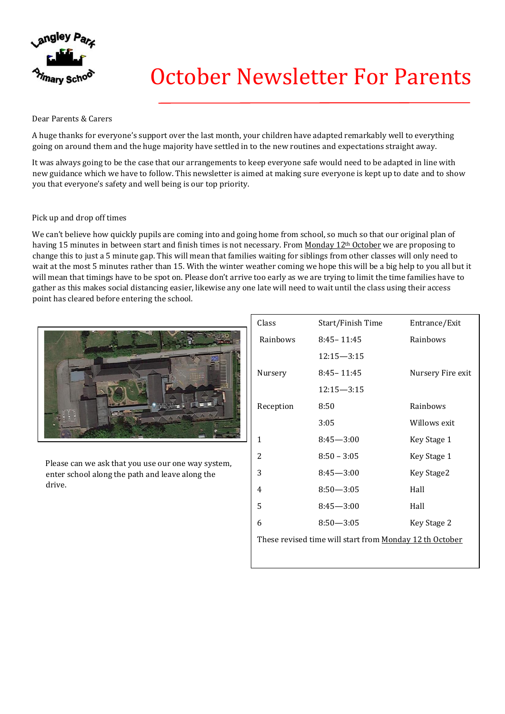

# October Newsletter For Parents

## Dear Parents & Carers

A huge thanks for everyone's support over the last month, your children have adapted remarkably well to everything going on around them and the huge majority have settled in to the new routines and expectations straight away.

It was always going to be the case that our arrangements to keep everyone safe would need to be adapted in line with new guidance which we have to follow. This newsletter is aimed at making sure everyone is kept up to date and to show you that everyone's safety and well being is our top priority.

## Pick up and drop off times

We can't believe how quickly pupils are coming into and going home from school, so much so that our original plan of having 15 minutes in between start and finish times is not necessary. From Monday 12<sup>th</sup> October we are proposing to change this to just a 5 minute gap. This will mean that families waiting for siblings from other classes will only need to wait at the most 5 minutes rather than 15. With the winter weather coming we hope this will be a big help to you all but it will mean that timings have to be spot on. Please don't arrive too early as we are trying to limit the time families have to gather as this makes social distancing easier, likewise any one late will need to wait until the class using their access point has cleared before entering the school.



Please can we ask that you use our one way system, enter school along the path and leave along the drive.

| Class                                                   | Start/Finish Time | Entrance/Exit     |
|---------------------------------------------------------|-------------------|-------------------|
| Rainbows                                                | $8:45 - 11:45$    | Rainbows          |
|                                                         | $12:15 - 3:15$    |                   |
| Nursery                                                 | $8:45 - 11:45$    | Nursery Fire exit |
|                                                         | $12:15 - 3:15$    |                   |
| Reception                                               | 8:50              | Rainbows          |
|                                                         | 3:05              | Willows exit      |
| $\mathbf{1}$                                            | $8:45 - 3:00$     | Key Stage 1       |
| 2                                                       | $8:50 - 3:05$     | Key Stage 1       |
| 3                                                       | $8:45 - 3:00$     | Key Stage2        |
| 4                                                       | $8:50 - 3:05$     | Hall              |
| 5                                                       | $8:45 - 3:00$     | Hall              |
| 6                                                       | $8:50 - 3:05$     | Key Stage 2       |
| These revised time will start from Monday 12 th October |                   |                   |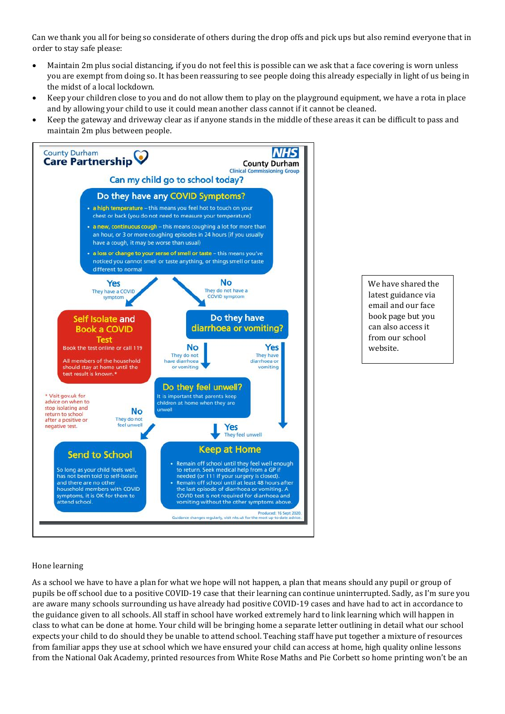Can we thank you all for being so considerate of others during the drop offs and pick ups but also remind everyone that in order to stay safe please:

- Maintain 2m plus social distancing, if you do not feel this is possible can we ask that a face covering is worn unless you are exempt from doing so. It has been reassuring to see people doing this already especially in light of us being in the midst of a local lockdown.
- Keep your children close to you and do not allow them to play on the playground equipment, we have a rota in place and by allowing your child to use it could mean another class cannot if it cannot be cleaned.
- Keep the gateway and driveway clear as if anyone stands in the middle of these areas it can be difficult to pass and maintain 2m plus between people.



We have shared the latest guidance via email and our face book page but you can also access it from our school website.

### Hone learning

As a school we have to have a plan for what we hope will not happen, a plan that means should any pupil or group of pupils be off school due to a positive COVID-19 case that their learning can continue uninterrupted. Sadly, as I'm sure you are aware many schools surrounding us have already had positive COVID-19 cases and have had to act in accordance to the guidance given to all schools. All staff in school have worked extremely hard to link learning which will happen in class to what can be done at home. Your child will be bringing home a separate letter outlining in detail what our school expects your child to do should they be unable to attend school. Teaching staff have put together a mixture of resources from familiar apps they use at school which we have ensured your child can access at home, high quality online lessons from the National Oak Academy, printed resources from White Rose Maths and Pie Corbett so home printing won't be an